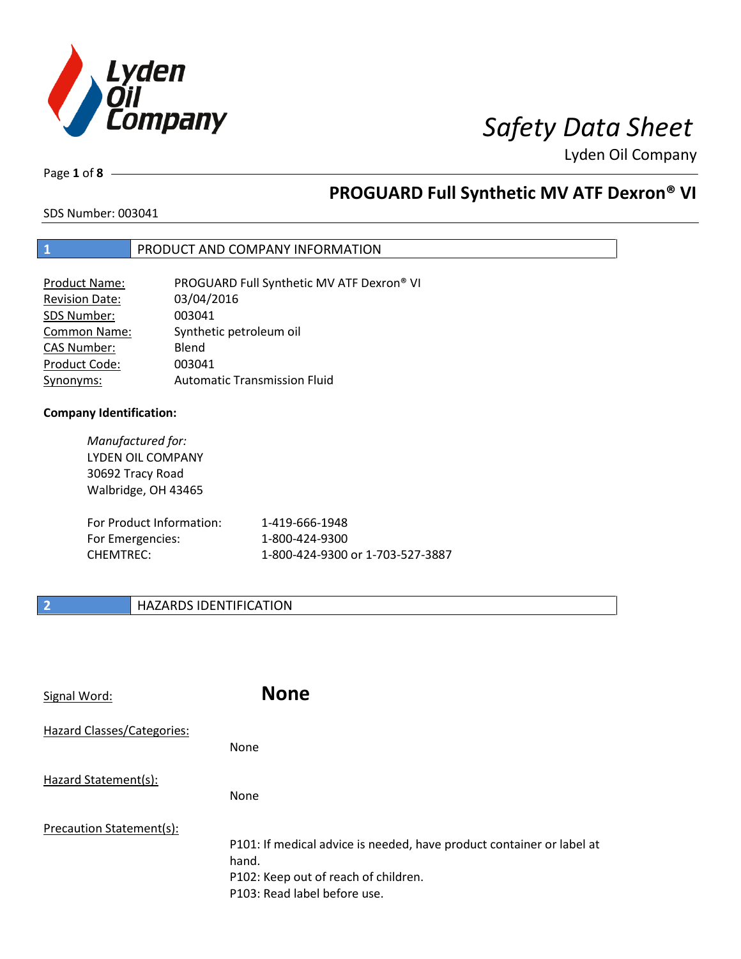

Page **1** of **8**

# **PROGUARD Full Synthetic MV ATF Dexron® VI**

SDS Number: 003041

## **1** PRODUCT AND COMPANY INFORMATION

| <b>Product Name:</b>  | PROGUARD Full Synthetic MV ATF Dexron® VI |
|-----------------------|-------------------------------------------|
| <b>Revision Date:</b> | 03/04/2016                                |
| SDS Number:           | 003041                                    |
| <b>Common Name:</b>   | Synthetic petroleum oil                   |
| <b>CAS Number:</b>    | Blend                                     |
| Product Code:         | 003041                                    |
| Synonyms:             | <b>Automatic Transmission Fluid</b>       |

## **Company Identification:**

*Manufactured for:* LYDEN OIL COMPANY 30692 Tracy Road Walbridge, OH 43465

| For Product Information: | 1-419-666-1948                   |
|--------------------------|----------------------------------|
| For Emergencies:         | 1-800-424-9300                   |
| CHEMTREC:                | 1-800-424-9300 or 1-703-527-3887 |

## **2 HAZARDS IDENTIFICATION**

| Signal Word:                      | <b>None</b>                                                                                                                                            |
|-----------------------------------|--------------------------------------------------------------------------------------------------------------------------------------------------------|
| <b>Hazard Classes/Categories:</b> | None                                                                                                                                                   |
| Hazard Statement(s):              | <b>None</b>                                                                                                                                            |
| Precaution Statement(s):          | P101: If medical advice is needed, have product container or label at<br>hand.<br>P102: Keep out of reach of children.<br>P103: Read label before use. |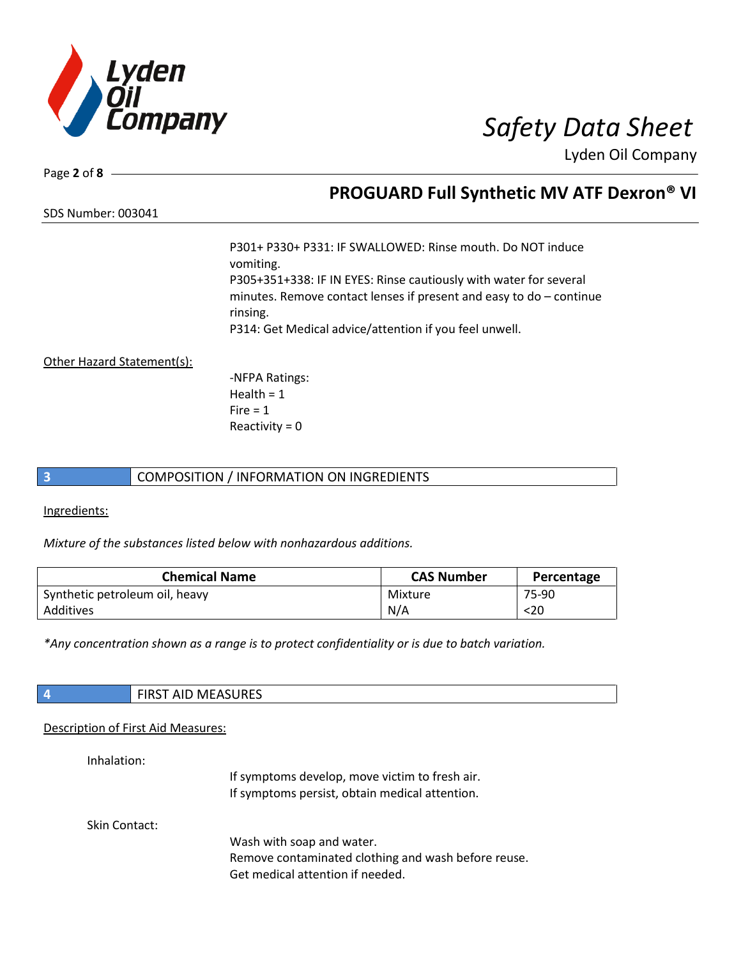

Page **2** of **8**

# **PROGUARD Full Synthetic MV ATF Dexron® VI**

SDS Number: 003041

P301+ P330+ P331: IF SWALLOWED: Rinse mouth. Do NOT induce vomiting. P305+351+338: IF IN EYES: Rinse cautiously with water for several minutes. Remove contact lenses if present and easy to do – continue rinsing. P314: Get Medical advice/attention if you feel unwell.

Other Hazard Statement(s):

-NFPA Ratings:  $Health = 1$  $Fire = 1$ Reactivity  $= 0$ 

## **3** COMPOSITION / INFORMATION ON INGREDIENTS

Ingredients:

*Mixture of the substances listed below with nonhazardous additions.*

| <b>Chemical Name</b>           | <b>CAS Number</b> | Percentage |
|--------------------------------|-------------------|------------|
| Synthetic petroleum oil, heavy | Mixture           | 75-90      |
| Additives                      | N/A               | $20$       |

*\*Any concentration shown as a range is to protect confidentiality or is due to batch variation.*

| <b>FIRST AID MEASURES</b> |
|---------------------------|
|                           |

## Description of First Aid Measures:

Inhalation:

If symptoms develop, move victim to fresh air. If symptoms persist, obtain medical attention.

Skin Contact:

Wash with soap and water. Remove contaminated clothing and wash before reuse. Get medical attention if needed.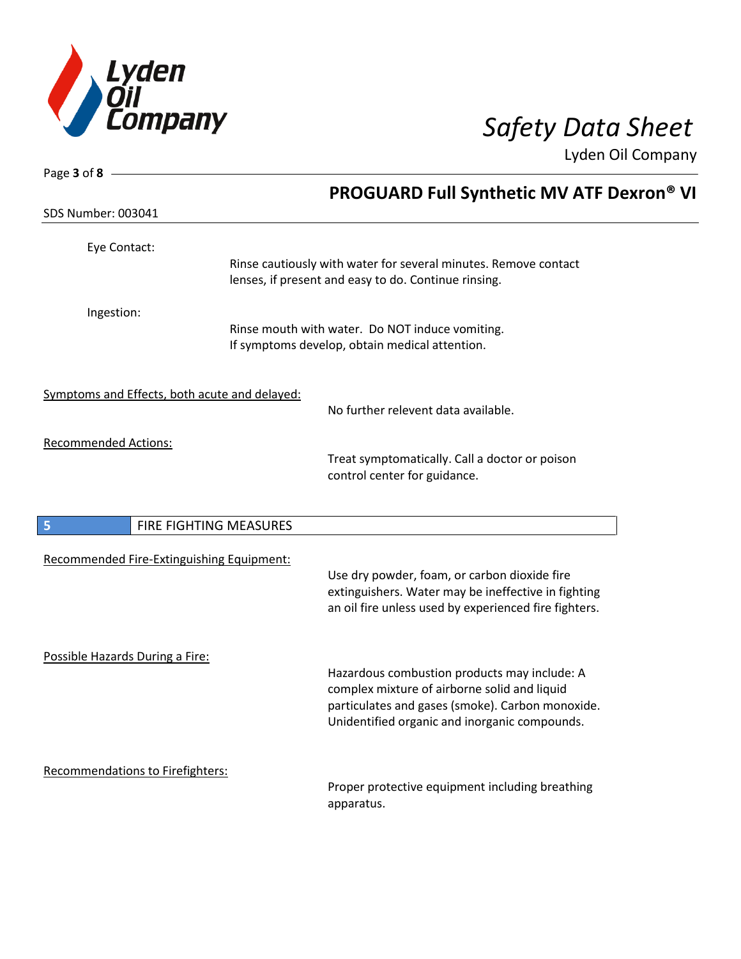

| Page $3$ of $8$ -                             |                        |                                                                                                              |
|-----------------------------------------------|------------------------|--------------------------------------------------------------------------------------------------------------|
|                                               |                        | <b>PROGUARD Full Synthetic MV ATF Dexron® VI</b>                                                             |
| <b>SDS Number: 003041</b>                     |                        |                                                                                                              |
| Eye Contact:                                  |                        |                                                                                                              |
|                                               |                        | Rinse cautiously with water for several minutes. Remove contact                                              |
|                                               |                        | lenses, if present and easy to do. Continue rinsing.                                                         |
| Ingestion:                                    |                        |                                                                                                              |
|                                               |                        | Rinse mouth with water. Do NOT induce vomiting.<br>If symptoms develop, obtain medical attention.            |
|                                               |                        |                                                                                                              |
| Symptoms and Effects, both acute and delayed: |                        |                                                                                                              |
|                                               |                        | No further relevent data available.                                                                          |
| <b>Recommended Actions:</b>                   |                        |                                                                                                              |
|                                               |                        | Treat symptomatically. Call a doctor or poison                                                               |
|                                               |                        | control center for guidance.                                                                                 |
|                                               |                        |                                                                                                              |
| 5                                             | FIRE FIGHTING MEASURES |                                                                                                              |
| Recommended Fire-Extinguishing Equipment:     |                        |                                                                                                              |
|                                               |                        | Use dry powder, foam, or carbon dioxide fire                                                                 |
|                                               |                        | extinguishers. Water may be ineffective in fighting<br>an oil fire unless used by experienced fire fighters. |
|                                               |                        |                                                                                                              |
| Possible Hazards During a Fire:               |                        |                                                                                                              |
|                                               |                        | Hazardous combustion products may include: A                                                                 |
|                                               |                        | complex mixture of airborne solid and liquid                                                                 |
|                                               |                        | particulates and gases (smoke). Carbon monoxide.<br>Unidentified organic and inorganic compounds.            |
|                                               |                        |                                                                                                              |
| <b>Recommendations to Firefighters:</b>       |                        |                                                                                                              |
|                                               |                        | Proper protective equipment including breathing                                                              |
|                                               |                        | apparatus.                                                                                                   |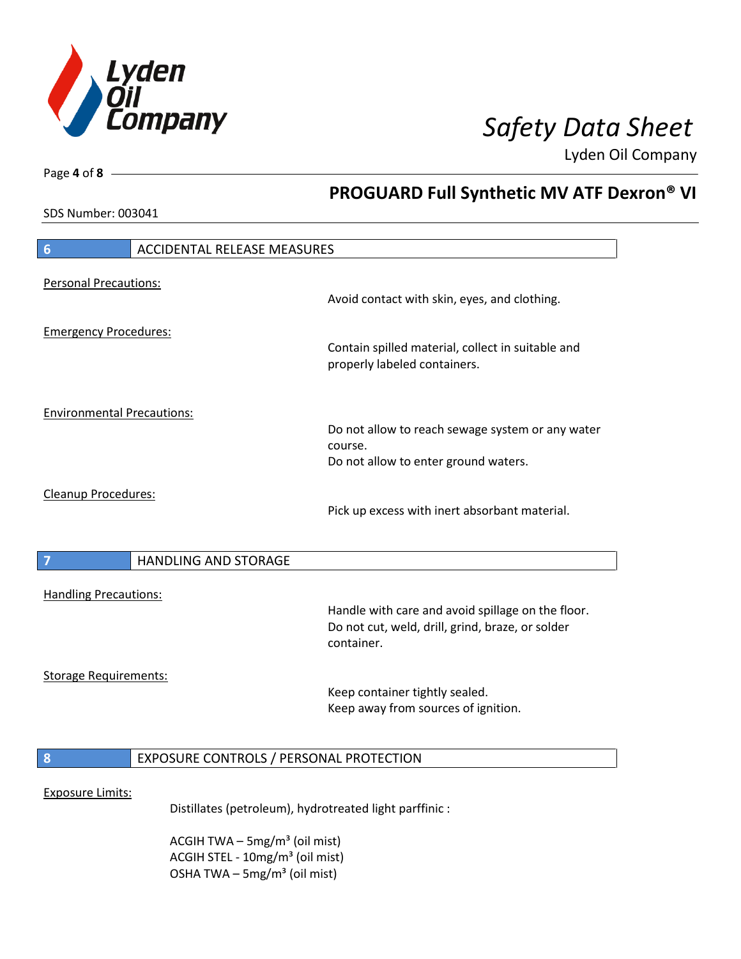

**PROGUARD Full Synthetic MV ATF Dexron® VI**

Lyden Oil Company

SDS Number: 003041

Page **4** of **8**

# **6** ACCIDENTAL RELEASE MEASURES Personal Precautions: Avoid contact with skin, eyes, and clothing. Emergency Procedures: Contain spilled material, collect in suitable and properly labeled containers. Environmental Precautions: Do not allow to reach sewage system or any water course. Do not allow to enter ground waters. Cleanup Procedures: Pick up excess with inert absorbant material. **7 HANDLING AND STORAGE** Handling Precautions: Handle with care and avoid spillage on the floor. Do not cut, weld, drill, grind, braze, or solder container. Storage Requirements: Keep container tightly sealed. Keep away from sources of ignition. **8** EXPOSURE CONTROLS / PERSONAL PROTECTION Exposure Limits: Distillates (petroleum), hydrotreated light parffinic :

ACGIH TWA  $-$  5mg/m<sup>3</sup> (oil mist) ACGIH STEL - 10mg/m<sup>3</sup> (oil mist) OSHA TWA – 5mg/m $3$  (oil mist)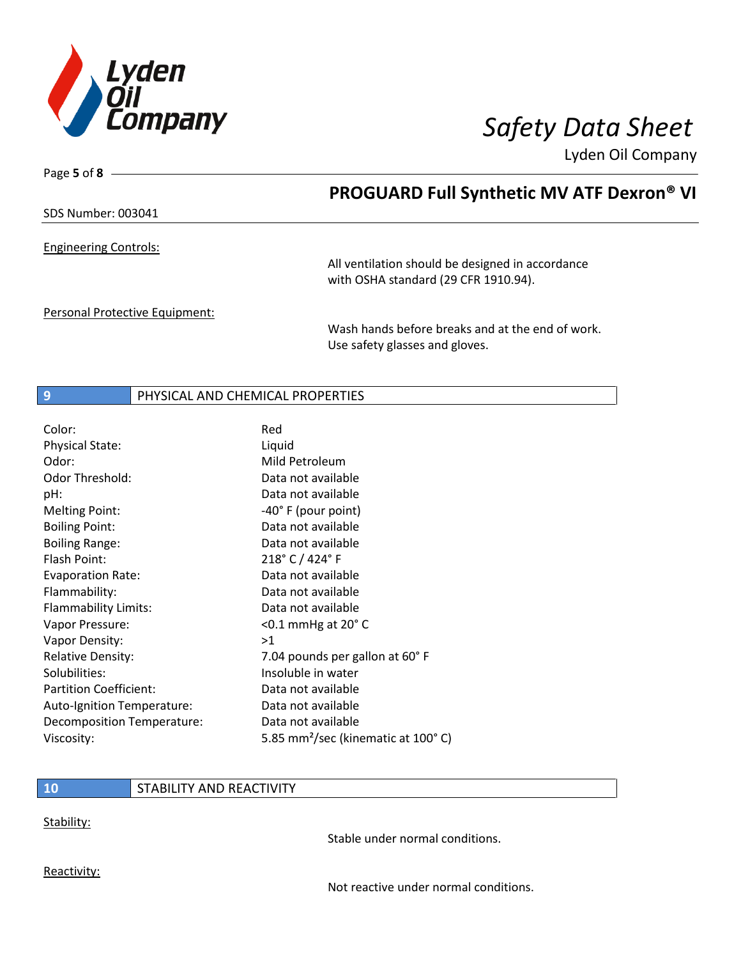

Page **5** of **8**

# **PROGUARD Full Synthetic MV ATF Dexron® VI**

## SDS Number: 003041

Engineering Controls:

All ventilation should be designed in accordance with OSHA standard (29 CFR 1910.94).

Personal Protective Equipment:

Wash hands before breaks and at the end of work. Use safety glasses and gloves.

## **9** PHYSICAL AND CHEMICAL PROPERTIES

| Color:                        | Red                                            |
|-------------------------------|------------------------------------------------|
| <b>Physical State:</b>        | Liquid                                         |
| Odor:                         | Mild Petroleum                                 |
| <b>Odor Threshold:</b>        | Data not available                             |
| pH:                           | Data not available                             |
| <b>Melting Point:</b>         | $-40^\circ$ F (pour point)                     |
| <b>Boiling Point:</b>         | Data not available                             |
| <b>Boiling Range:</b>         | Data not available                             |
| Flash Point:                  | 218° C / 424° F                                |
| <b>Evaporation Rate:</b>      | Data not available                             |
| Flammability:                 | Data not available                             |
| Flammability Limits:          | Data not available                             |
| Vapor Pressure:               | $<$ 0.1 mmHg at 20 $^{\circ}$ C                |
| Vapor Density:                | >1                                             |
| <b>Relative Density:</b>      | 7.04 pounds per gallon at 60°F                 |
| Solubilities:                 | Insoluble in water                             |
| <b>Partition Coefficient:</b> | Data not available                             |
| Auto-Ignition Temperature:    | Data not available                             |
| Decomposition Temperature:    | Data not available                             |
| Viscosity:                    | 5.85 mm <sup>2</sup> /sec (kinematic at 100°C) |

## **10** STABILITY AND REACTIVITY

Stability:

Stable under normal conditions.

Reactivity:

Not reactive under normal conditions.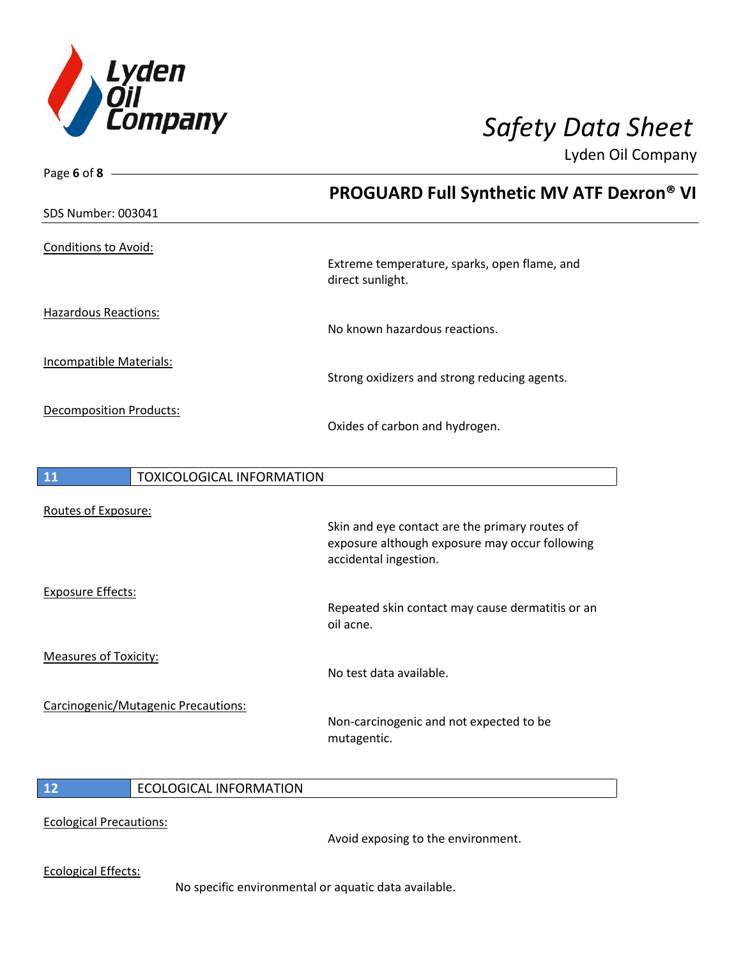

| Page 6 of 8 $-$                        |                                                                                                                           |
|----------------------------------------|---------------------------------------------------------------------------------------------------------------------------|
| SDS Number: 003041                     | <b>PROGUARD Full Synthetic MV ATF Dexron® VI</b>                                                                          |
|                                        |                                                                                                                           |
| <b>Conditions to Avoid:</b>            | Extreme temperature, sparks, open flame, and<br>direct sunlight.                                                          |
| <b>Hazardous Reactions:</b>            | No known hazardous reactions.                                                                                             |
| Incompatible Materials:                | Strong oxidizers and strong reducing agents.                                                                              |
| Decomposition Products:                | Oxides of carbon and hydrogen.                                                                                            |
| 11<br><b>TOXICOLOGICAL INFORMATION</b> |                                                                                                                           |
| Routes of Exposure:                    | Skin and eye contact are the primary routes of<br>exposure although exposure may occur following<br>accidental ingestion. |
| <b>Exposure Effects:</b>               | Repeated skin contact may cause dermatitis or an<br>oil acne.                                                             |
| <b>Measures of Toxicity:</b>           | No test data available.                                                                                                   |
| Carcinogenic/Mutagenic Precautions:    | Non-carcinogenic and not expected to be<br>mutagentic.                                                                    |
| 12<br><b>ECOLOGICAL INFORMATION</b>    |                                                                                                                           |
| <b>Ecological Precautions:</b>         | Avoid exposing to the environment.                                                                                        |

Ecological Effects:

No specific environmental or aquatic data available.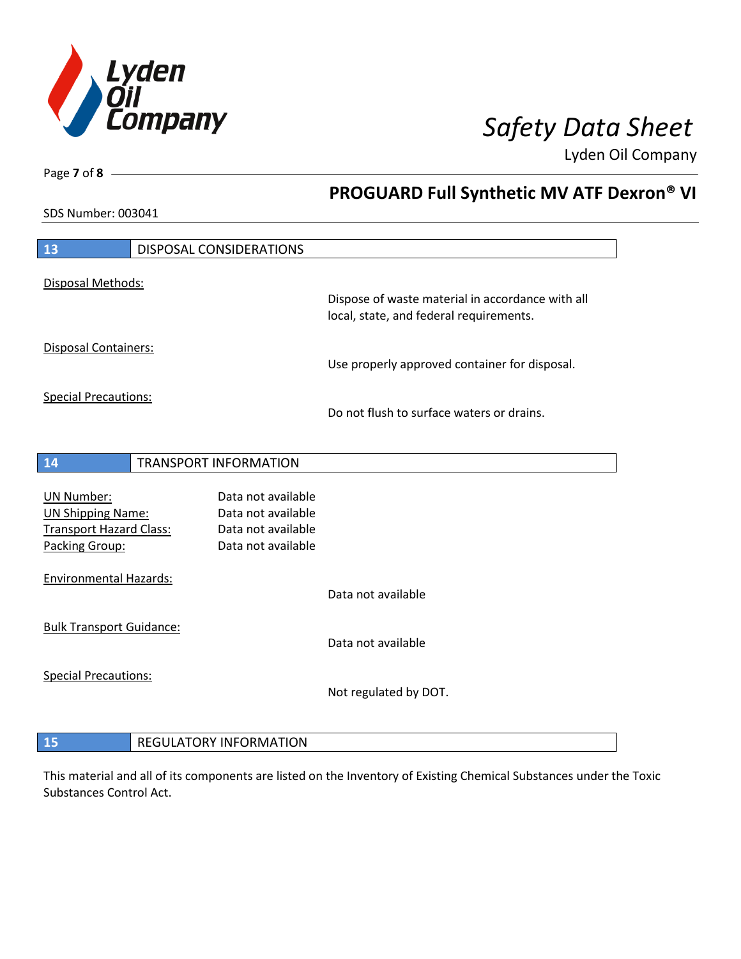

**PROGUARD Full Synthetic MV ATF Dexron® VI**

Lyden Oil Company

SDS Number: 003041

Page **7** of **8**

| 13                                               | <b>DISPOSAL CONSIDERATIONS</b>           |                                                  |
|--------------------------------------------------|------------------------------------------|--------------------------------------------------|
| Disposal Methods:                                |                                          | Dispose of waste material in accordance with all |
|                                                  |                                          | local, state, and federal requirements.          |
| Disposal Containers:                             |                                          | Use properly approved container for disposal.    |
| <b>Special Precautions:</b>                      |                                          | Do not flush to surface waters or drains.        |
| 14                                               | <b>TRANSPORT INFORMATION</b>             |                                                  |
|                                                  |                                          |                                                  |
| <b>UN Number:</b>                                | Data not available                       |                                                  |
| <b>UN Shipping Name:</b>                         | Data not available                       |                                                  |
| <b>Transport Hazard Class:</b><br>Packing Group: | Data not available<br>Data not available |                                                  |
|                                                  |                                          |                                                  |
| <b>Environmental Hazards:</b>                    |                                          |                                                  |
|                                                  |                                          | Data not available                               |
| <b>Bulk Transport Guidance:</b>                  |                                          |                                                  |
|                                                  |                                          | Data not available                               |
| <b>Special Precautions:</b>                      |                                          |                                                  |
|                                                  |                                          | Not regulated by DOT.                            |
|                                                  |                                          |                                                  |
| 15                                               | <b>REGULATORY INFORMATION</b>            |                                                  |

This material and all of its components are listed on the Inventory of Existing Chemical Substances under the Toxic Substances Control Act.